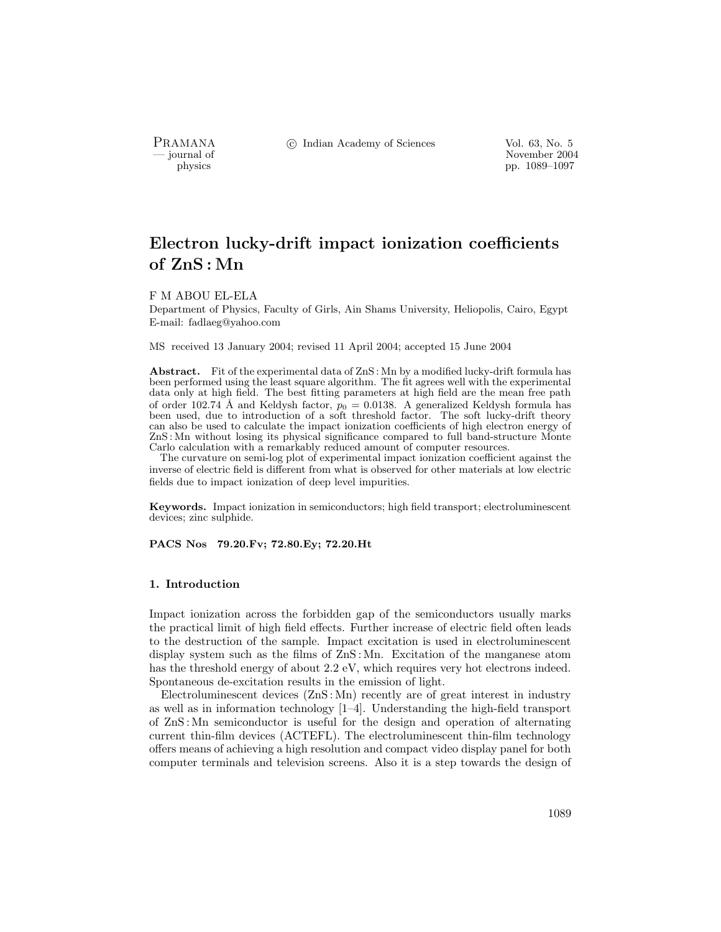PRAMANA °c Indian Academy of Sciences Vol. 63, No. 5

purnal of November 2004<br>
pp. 1089–1097<br>
pp. 1089–1097 physics pp. 1089–1097

# Electron lucky-drift impact ionization coefficients of ZnS : Mn

## F M ABOU EL-ELA

Department of Physics, Faculty of Girls, Ain Shams University, Heliopolis, Cairo, Egypt E-mail: fadlaeg@yahoo.com

MS received 13 January 2004; revised 11 April 2004; accepted 15 June 2004

Abstract. Fit of the experimental data of ZnS : Mn by a modified lucky-drift formula has been performed using the least square algorithm. The fit agrees well with the experimental data only at high field. The best fitting parameters at high field are the mean free path of order 102.74 Å and Keldysh factor,  $p_0 = 0.0138$ . A generalized Keldysh formula has been used, due to introduction of a soft threshold factor. The soft lucky-drift theory can also be used to calculate the impact ionization coefficients of high electron energy of ZnS : Mn without losing its physical significance compared to full band-structure Monte Carlo calculation with a remarkably reduced amount of computer resources.

The curvature on semi-log plot of experimental impact ionization coefficient against the inverse of electric field is different from what is observed for other materials at low electric fields due to impact ionization of deep level impurities.

Keywords. Impact ionization in semiconductors; high field transport; electroluminescent devices; zinc sulphide.

PACS Nos 79.20.Fv; 72.80.Ey; 72.20.Ht

### 1. Introduction

Impact ionization across the forbidden gap of the semiconductors usually marks the practical limit of high field effects. Further increase of electric field often leads to the destruction of the sample. Impact excitation is used in electroluminescent display system such as the films of ZnS : Mn. Excitation of the manganese atom has the threshold energy of about 2.2 eV, which requires very hot electrons indeed. Spontaneous de-excitation results in the emission of light.

Electroluminescent devices (ZnS : Mn) recently are of great interest in industry as well as in information technology [1–4]. Understanding the high-field transport of ZnS : Mn semiconductor is useful for the design and operation of alternating current thin-film devices (ACTEFL). The electroluminescent thin-film technology offers means of achieving a high resolution and compact video display panel for both computer terminals and television screens. Also it is a step towards the design of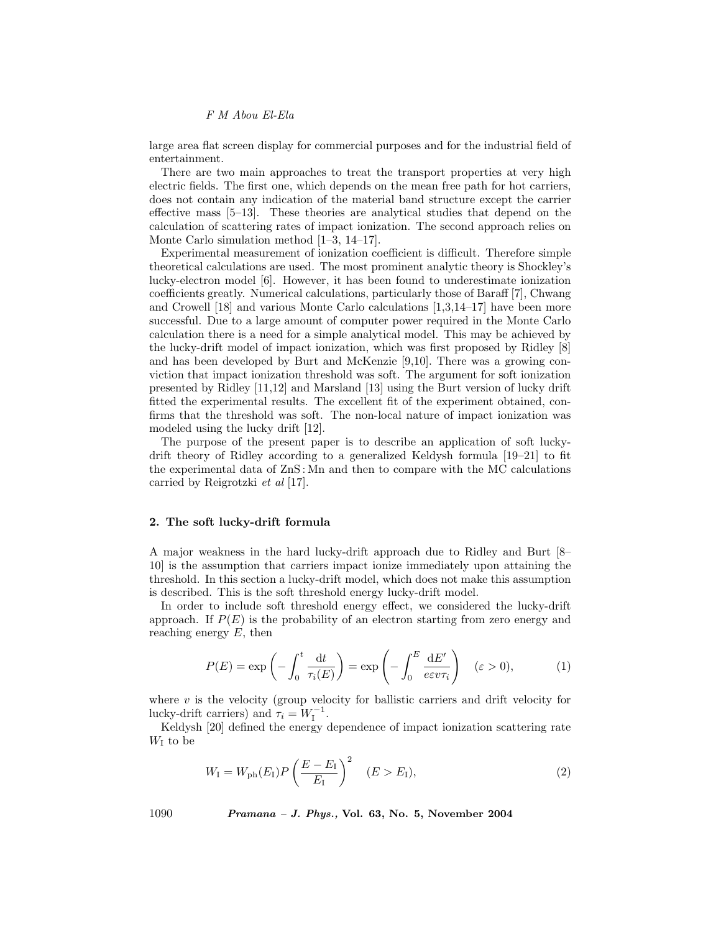F M Abou El-Ela

large area flat screen display for commercial purposes and for the industrial field of entertainment.

There are two main approaches to treat the transport properties at very high electric fields. The first one, which depends on the mean free path for hot carriers, does not contain any indication of the material band structure except the carrier effective mass [5–13]. These theories are analytical studies that depend on the calculation of scattering rates of impact ionization. The second approach relies on Monte Carlo simulation method [1–3, 14–17].

Experimental measurement of ionization coefficient is difficult. Therefore simple theoretical calculations are used. The most prominent analytic theory is Shockley's lucky-electron model [6]. However, it has been found to underestimate ionization coefficients greatly. Numerical calculations, particularly those of Baraff [7], Chwang and Crowell [18] and various Monte Carlo calculations [1,3,14–17] have been more successful. Due to a large amount of computer power required in the Monte Carlo calculation there is a need for a simple analytical model. This may be achieved by the lucky-drift model of impact ionization, which was first proposed by Ridley [8] and has been developed by Burt and McKenzie [9,10]. There was a growing conviction that impact ionization threshold was soft. The argument for soft ionization presented by Ridley [11,12] and Marsland [13] using the Burt version of lucky drift fitted the experimental results. The excellent fit of the experiment obtained, confirms that the threshold was soft. The non-local nature of impact ionization was modeled using the lucky drift [12].

The purpose of the present paper is to describe an application of soft luckydrift theory of Ridley according to a generalized Keldysh formula [19–21] to fit the experimental data of ZnS : Mn and then to compare with the MC calculations carried by Reigrotzki et al [17].

## 2. The soft lucky-drift formula

A major weakness in the hard lucky-drift approach due to Ridley and Burt [8– 10] is the assumption that carriers impact ionize immediately upon attaining the threshold. In this section a lucky-drift model, which does not make this assumption is described. This is the soft threshold energy lucky-drift model.

In order to include soft threshold energy effect, we considered the lucky-drift approach. If  $P(E)$  is the probability of an electron starting from zero energy and reaching energy  $E$ , then

$$
P(E) = \exp\left(-\int_0^t \frac{\mathrm{d}t}{\tau_i(E)}\right) = \exp\left(-\int_0^E \frac{\mathrm{d}E'}{e\varepsilon v \tau_i}\right) \quad (\varepsilon > 0),\tag{1}
$$

where  $v$  is the velocity (group velocity for ballistic carriers and drift velocity for lucky-drift carriers) and  $\widetilde{\tau}_i = W_I^{-1}$ .

Keldysh [20] defined the energy dependence of impact ionization scattering rate  $W_I$  to be

$$
W_{\rm I} = W_{\rm ph}(E_{\rm I}) P \left(\frac{E - E_{\rm I}}{E_{\rm I}}\right)^2 \quad (E > E_{\rm I}),\tag{2}
$$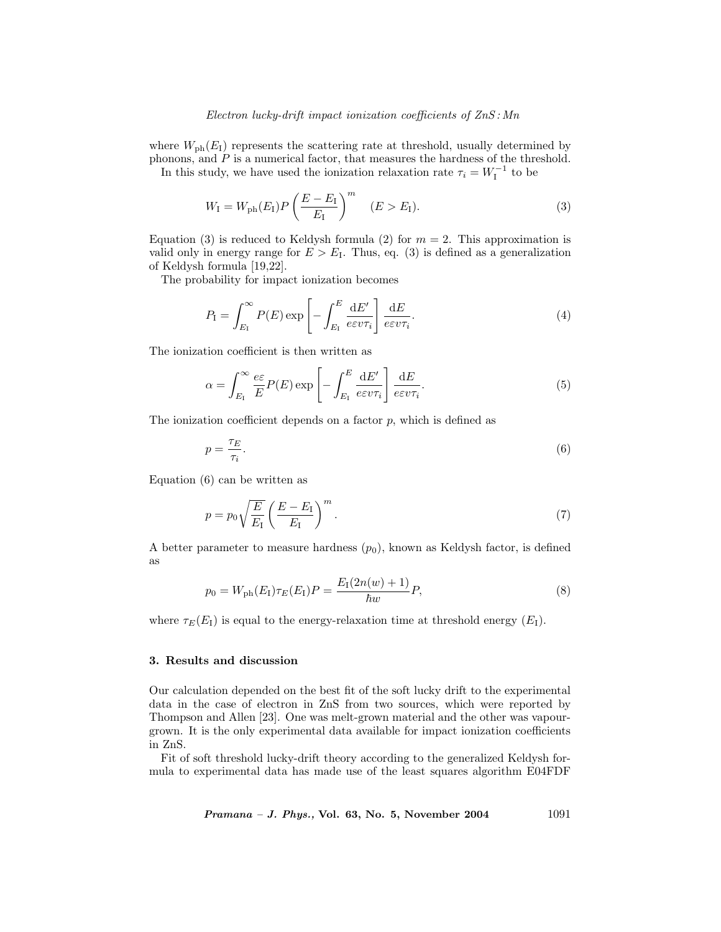## Electron lucky-drift impact ionization coefficients of ZnS : Mn

where  $W_{\text{ph}}(E_{\text{I}})$  represents the scattering rate at threshold, usually determined by phonons, and  $P$  is a numerical factor, that measures the hardness of the threshold.

In this study, we have used the ionization relaxation rate  $\tau_i = W_I^{-1}$  to be

$$
W_{\rm I} = W_{\rm ph}(E_{\rm I}) P \left(\frac{E - E_{\rm I}}{E_{\rm I}}\right)^m \quad (E > E_{\rm I}).\tag{3}
$$

Equation (3) is reduced to Keldysh formula (2) for  $m = 2$ . This approximation is valid only in energy range for  $E > E<sub>I</sub>$ . Thus, eq. (3) is defined as a generalization of Keldysh formula [19,22].

The probability for impact ionization becomes

$$
P_{\rm I} = \int_{E_{\rm I}}^{\infty} P(E) \exp\left[-\int_{E_{\rm I}}^{E} \frac{\mathrm{d}E'}{e \varepsilon v \tau_i}\right] \frac{\mathrm{d}E}{e \varepsilon v \tau_i}.
$$
\n(4)

The ionization coefficient is then written as

$$
\alpha = \int_{E_1}^{\infty} \frac{e \varepsilon}{E} P(E) \exp\left[ - \int_{E_1}^{E} \frac{dE'}{e \varepsilon v \tau_i} \right] \frac{dE}{e \varepsilon v \tau_i}.
$$
(5)

The ionization coefficient depends on a factor  $p$ , which is defined as

$$
p = \frac{\tau_E}{\tau_i}.\tag{6}
$$

Equation (6) can be written as

$$
p = p_0 \sqrt{\frac{E}{E_{\rm I}}} \left( \frac{E - E_{\rm I}}{E_{\rm I}} \right)^m.
$$
\n(7)

A better parameter to measure hardness  $(p_0)$ , known as Keldysh factor, is defined as

$$
p_0 = W_{\rm ph}(E_{\rm I})\tau_E(E_{\rm I})P = \frac{E_{\rm I}(2n(w) + 1)}{\hbar w}P,\tag{8}
$$

where  $\tau_E(E_I)$  is equal to the energy-relaxation time at threshold energy  $(E_I)$ .

#### 3. Results and discussion

Our calculation depended on the best fit of the soft lucky drift to the experimental data in the case of electron in ZnS from two sources, which were reported by Thompson and Allen [23]. One was melt-grown material and the other was vapourgrown. It is the only experimental data available for impact ionization coefficients in ZnS.

Fit of soft threshold lucky-drift theory according to the generalized Keldysh formula to experimental data has made use of the least squares algorithm E04FDF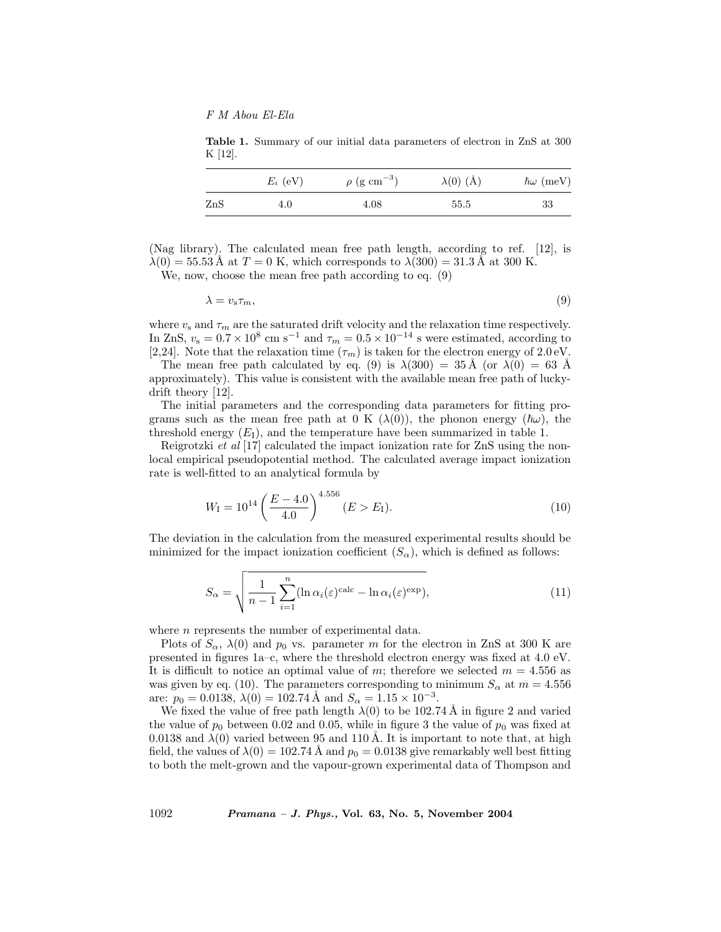F M Abou El-Ela

Table 1. Summary of our initial data parameters of electron in ZnS at 300 K [12].

|     | $E_i$ (eV) | $\rho$ (g cm <sup>-3</sup> ) | $\lambda(0)$ (Å) | $\hbar\omega$ (meV) |
|-----|------------|------------------------------|------------------|---------------------|
| ZnS | 4.0        | 4.08                         | 55.5             | 33                  |

(Nag library). The calculated mean free path length, according to ref. [12], is  $\lambda(0) = 55.53 \text{ Å}$  at  $T = 0 \text{ K}$ , which corresponds to  $\lambda(300) = 31.3 \text{ Å}$  at 300 K.

We, now, choose the mean free path according to eq. (9)

 $\lambda = v_{s} \tau_{m},$ (9)

where  $v_s$  and  $\tau_m$  are the saturated drift velocity and the relaxation time respectively. In ZnS,  $v_s = 0.7 \times 10^8$  cm s<sup>-1</sup> and  $\tau_m = 0.5 \times 10^{-14}$  s were estimated, according to [2,24]. Note that the relaxation time  $(\tau_m)$  is taken for the electron energy of 2.0 eV.

The mean free path calculated by eq. (9) is  $\lambda(300) = 35 \text{ Å}$  (or  $\lambda(0) = 63 \text{ Å}$ approximately). This value is consistent with the available mean free path of luckydrift theory [12].

The initial parameters and the corresponding data parameters for fitting programs such as the mean free path at 0 K  $(\lambda(0))$ , the phonon energy  $(\hbar\omega)$ , the threshold energy  $(E_I)$ , and the temperature have been summarized in table 1.

Reigrotzki et al [17] calculated the impact ionization rate for ZnS using the nonlocal empirical pseudopotential method. The calculated average impact ionization rate is well-fitted to an analytical formula by

$$
W_{\rm I} = 10^{14} \left( \frac{E - 4.0}{4.0} \right)^{4.556} (E > E_{\rm I}). \tag{10}
$$

The deviation in the calculation from the measured experimental results should be minimized for the impact ionization coefficient  $(S_\alpha)$ , which is defined as follows:

$$
S_{\alpha} = \sqrt{\frac{1}{n-1} \sum_{i=1}^{n} (\ln \alpha_i(\varepsilon)^{\text{calc}} - \ln \alpha_i(\varepsilon)^{\text{exp}})},
$$
\n(11)

where *n* represents the number of experimental data.

Plots of  $S_\alpha$ ,  $\lambda(0)$  and  $p_0$  vs. parameter m for the electron in ZnS at 300 K are presented in figures 1a–c, where the threshold electron energy was fixed at 4.0 eV. It is difficult to notice an optimal value of m; therefore we selected  $m = 4.556$  as was given by eq. (10). The parameters corresponding to minimum  $S_{\alpha}$  at  $m = 4.556$ are:  $p_0 = 0.0138$ ,  $\lambda(0) = 102.74$  Å and  $S_\alpha = 1.15 \times 10^{-3}$ .

We fixed the value of free path length  $\lambda(0)$  to be 102.74 Å in figure 2 and varied the value of  $p_0$  between 0.02 and 0.05, while in figure 3 the value of  $p_0$  was fixed at 0.0138 and  $\lambda(0)$  varied between 95 and 110 Å. It is important to note that, at high field, the values of  $\lambda(0) = 102.74 \text{ Å}$  and  $p_0 = 0.0138$  give remarkably well best fitting to both the melt-grown and the vapour-grown experimental data of Thompson and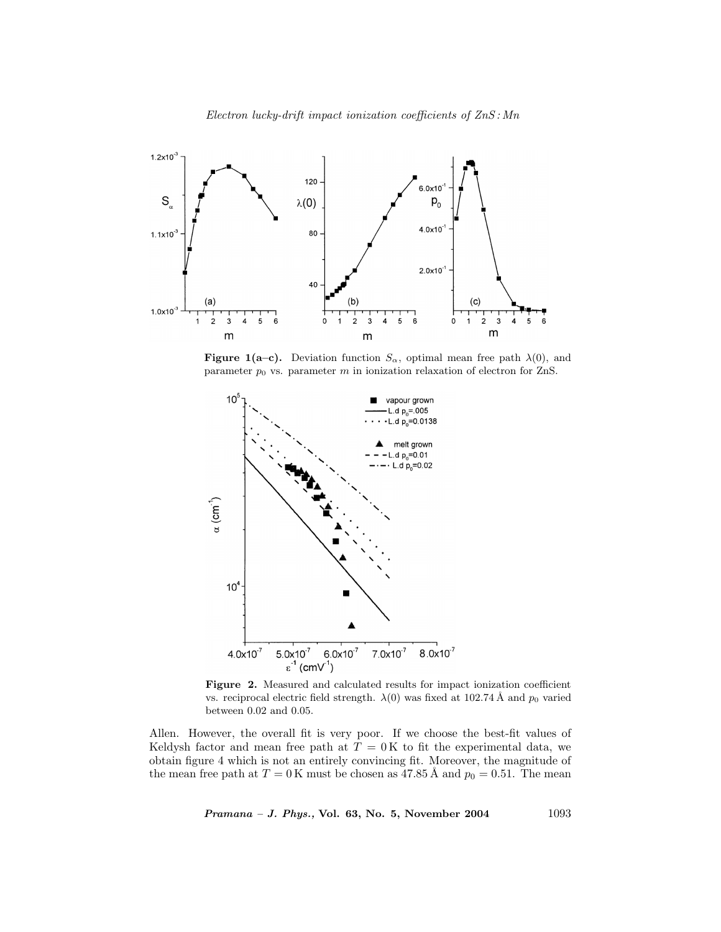

**Figure 1(a–c).** Deviation function  $S_\alpha$ , optimal mean free path  $\lambda(0)$ , and parameter  $p_0$  vs. parameter m in ionization relaxation of electron for ZnS.



Figure 2. Measured and calculated results for impact ionization coefficient vs. reciprocal electric field strength.  $\lambda(0)$  was fixed at 102.74 Å and  $p_0$  varied between 0.02 and 0.05.

Allen. However, the overall fit is very poor. If we choose the best-fit values of Keldysh factor and mean free path at  $T = 0$ K to fit the experimental data, we obtain figure 4 which is not an entirely convincing fit. Moreover, the magnitude of the mean free path at  $T = 0$  K must be chosen as 47.85 Å and  $p_0 = 0.51$ . The mean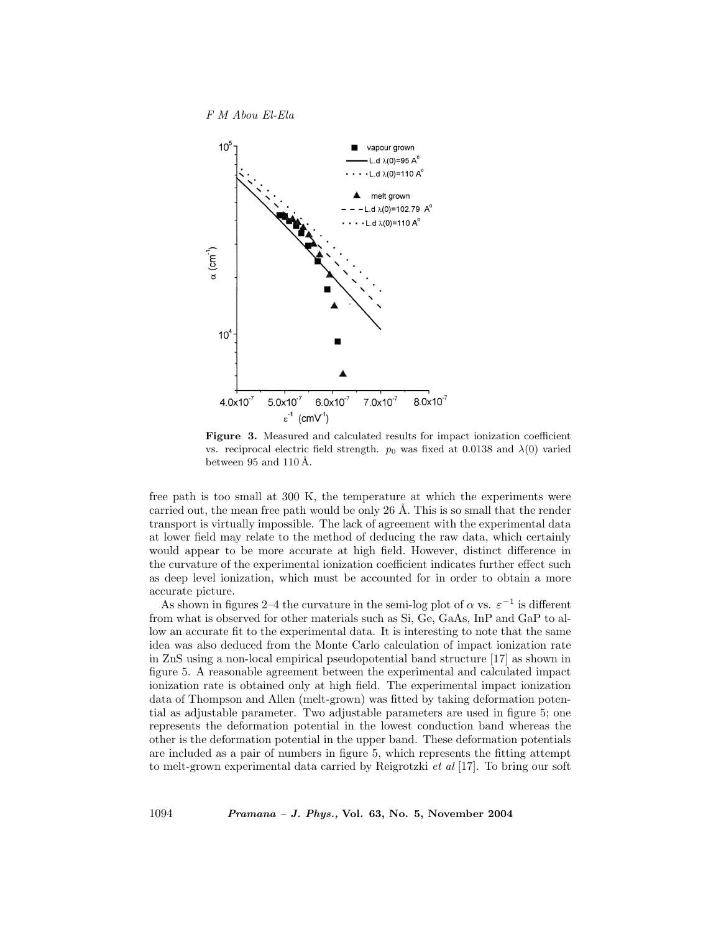



Figure 3. Measured and calculated results for impact ionization coefficient vs. reciprocal electric field strength.  $p_0$  was fixed at 0.0138 and  $\lambda(0)$  varied between 95 and 110 Å.

free path is too small at 300 K, the temperature at which the experiments were carried out, the mean free path would be only  $26 \text{ Å}$ . This is so small that the render transport is virtually impossible. The lack of agreement with the experimental data at lower field may relate to the method of deducing the raw data, which certainly would appear to be more accurate at high field. However, distinct difference in the curvature of the experimental ionization coefficient indicates further effect such as deep level ionization, which must be accounted for in order to obtain a more accurate picture.

As shown in figures 2–4 the curvature in the semi-log plot of  $\alpha$  vs.  $\varepsilon^{-1}$  is different from what is observed for other materials such as Si, Ge, GaAs, InP and GaP to allow an accurate fit to the experimental data. It is interesting to note that the same idea was also deduced from the Monte Carlo calculation of impact ionization rate in ZnS using a non-local empirical pseudopotential band structure [17] as shown in figure 5. A reasonable agreement between the experimental and calculated impact ionization rate is obtained only at high field. The experimental impact ionization data of Thompson and Allen (melt-grown) was fitted by taking deformation potential as adjustable parameter. Two adjustable parameters are used in figure 5; one represents the deformation potential in the lowest conduction band whereas the other is the deformation potential in the upper band. These deformation potentials are included as a pair of numbers in figure 5, which represents the fitting attempt to melt-grown experimental data carried by Reigrotzki et al [17]. To bring our soft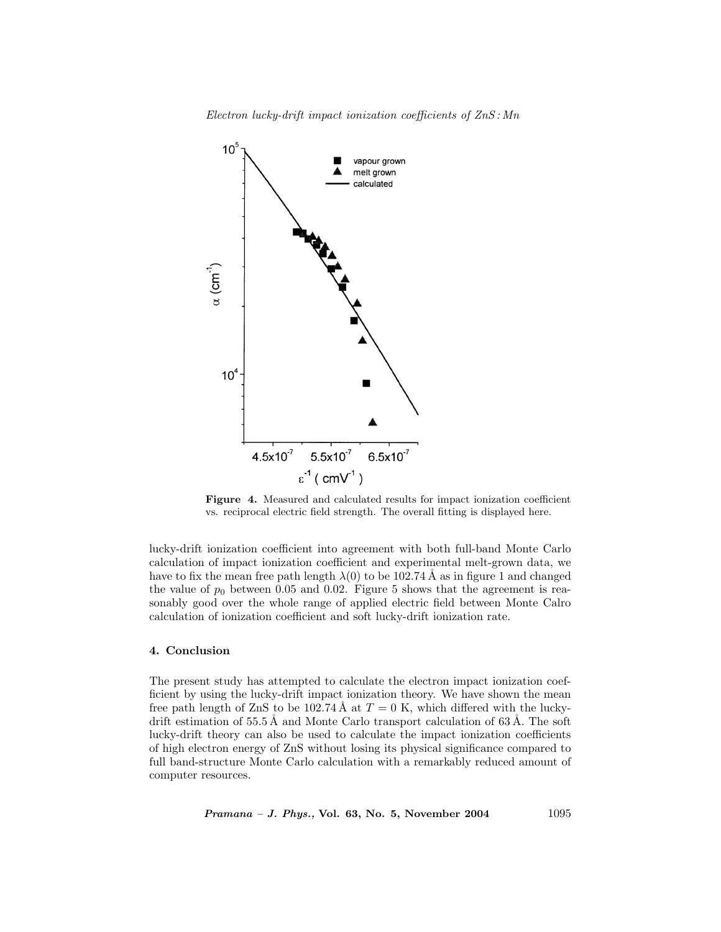Electron lucky-drift impact ionization coefficients of ZnS : Mn



Figure 4. Measured and calculated results for impact ionization coefficient vs. reciprocal electric field strength. The overall fitting is displayed here.

lucky-drift ionization coefficient into agreement with both full-band Monte Carlo calculation of impact ionization coefficient and experimental melt-grown data, we have to fix the mean free path length  $\lambda(0)$  to be 102.74 Å as in figure 1 and changed the value of  $p_0$  between 0.05 and 0.02. Figure 5 shows that the agreement is reasonably good over the whole range of applied electric field between Monte Calro calculation of ionization coefficient and soft lucky-drift ionization rate.

#### 4. Conclusion

The present study has attempted to calculate the electron impact ionization coefficient by using the lucky-drift impact ionization theory. We have shown the mean free path length of ZnS to be 102.74 Å at  $T = 0$  K, which differed with the luckydrift estimation of  $55.5 \text{\AA}$  and Monte Carlo transport calculation of  $63 \text{\AA}$ . The soft lucky-drift theory can also be used to calculate the impact ionization coefficients of high electron energy of ZnS without losing its physical significance compared to full band-structure Monte Carlo calculation with a remarkably reduced amount of computer resources.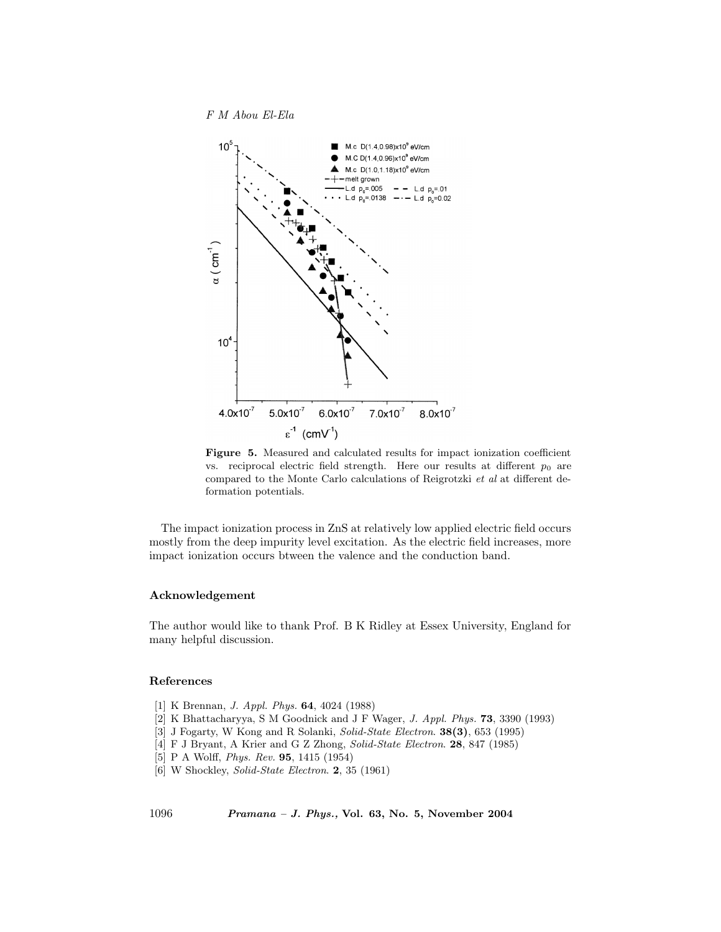F M Abou El-Ela



Figure 5. Measured and calculated results for impact ionization coefficient vs. reciprocal electric field strength. Here our results at different  $p_0$  are compared to the Monte Carlo calculations of Reigrotzki et al at different deformation potentials.

The impact ionization process in ZnS at relatively low applied electric field occurs mostly from the deep impurity level excitation. As the electric field increases, more impact ionization occurs btween the valence and the conduction band.

### Acknowledgement

The author would like to thank Prof. B K Ridley at Essex University, England for many helpful discussion.

## References

- [1] K Brennan, J. Appl. Phys. 64, 4024 (1988)
- [2] K Bhattacharyya, S M Goodnick and J F Wager, J. Appl. Phys. 73, 3390 (1993)
- [3] J Fogarty, W Kong and R Solanki, Solid-State Electron. 38(3), 653 (1995)
- [4] F J Bryant, A Krier and G Z Zhong, Solid-State Electron. 28, 847 (1985)
- [5] P A Wolff, Phys. Rev. 95, 1415 (1954)
- [6] W Shockley, Solid-State Electron. 2, 35 (1961)